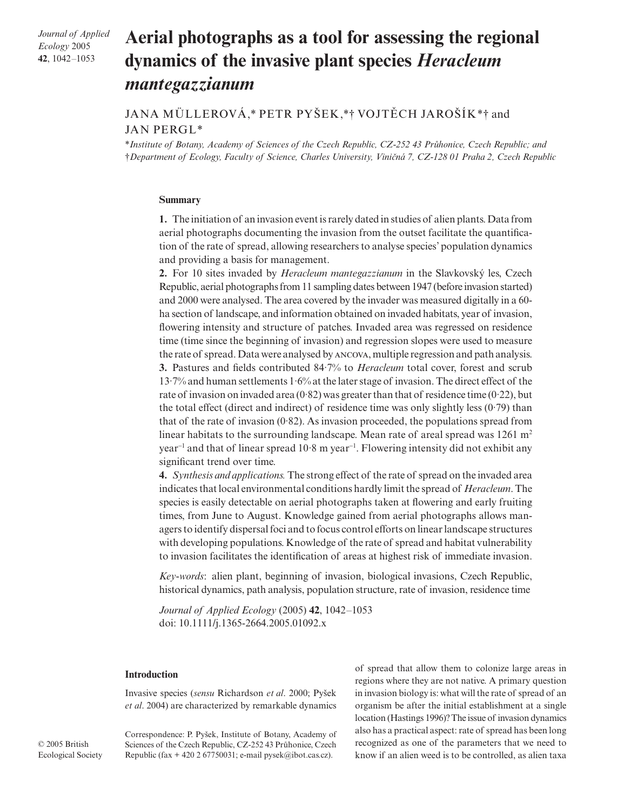*Journal of Applied Ecology* 2005 **42**, 1042–1053

# Aerial photographs as a tool for assessing the regional **dynamics of the invasive plant species** *Heracleum mantegazzianum*

# JANA MÜLLEROVÁ,\* PETR PYSEK,\*† VOJTECH JAROSÍK\*† and JAN PERGL\*

\**Institute of Botany, Academy of Sciences of the Czech Republic, CZ-252 43 Pr*x*honice, Czech Republic; and*  †*Department of Ecology, Faculty of Science, Charles University, Vini*Ç*ná 7, CZ-128 01 Praha 2, Czech Republic* 

### **Summary**

**1.** The initiation of an invasion event is rarely dated in studies of alien plants. Data from aerial photographs documenting the invasion from the outset facilitate the quantification of the rate of spread, allowing researchers to analyse species' population dynamics and providing a basis for management.

**2.** For 10 sites invaded by *Heracleum mantegazzianum* in the Slavkovsky les, Czech Republic, aerial photographs from 11 sampling dates between 1947 (before invasion started) and 2000 were analysed. The area covered by the invader was measured digitally in a 60 ha section of landscape, and information obtained on invaded habitats, year of invasion, flowering intensity and structure of patches. Invaded area was regressed on residence time (time since the beginning of invasion) and regression slopes were used to measure the rate of spread. Data were analysed by ANCOVA, multiple regression and path analysis. **3.** Pastures and fields contributed 84·7% to *Heracleum* total cover, forest and scrub 13·7% and human settlements 1·6% at the later stage of invasion. The direct effect of the rate of invasion on invaded area  $(0.82)$  was greater than that of residence time  $(0.22)$ , but the total effect (direct and indirect) of residence time was only slightly less (0·79) than that of the rate of invasion  $(0.82)$ . As invasion proceeded, the populations spread from linear habitats to the surrounding landscape. Mean rate of areal spread was  $1261 \text{ m}^2$ year<sup>-1</sup> and that of linear spread 10⋅8 m year<sup>-1</sup>. Flowering intensity did not exhibit any significant trend over time.

**4.** *Synthesis and applications.*The strong effect of the rate of spread on the invaded area indicates that local environmental conditions hardly limit the spread of *Heracleum*. The species is easily detectable on aerial photographs taken at flowering and early fruiting times, from June to August. Knowledge gained from aerial photographs allows managers to identify dispersal foci and to focus control efforts on linear landscape structures with developing populations. Knowledge of the rate of spread and habitat vulnerability to invasion facilitates the identification of areas at highest risk of immediate invasion.

*Key-words*: alien plant, beginning of invasion, biological invasions, Czech Republic, historical dynamics, path analysis, population structure, rate of invasion, residence time

*Journal of Applied Ecology* (2005) **42**, 1042–1053 doi: 10.1111/j.1365-2664.2005.01092.x

### **Introduction**

Invasive species (*sensu* Richardson *et al*. 2000; Pysek *et al*. 2004) are characterized by remarkable dynamics

Correspondence: P. Pysek, Institute of Botany, Academy of Sciences of the Czech Republic, CZ-252 43 Průhonice, Czech Republic (fax + 420 2 67750031; e-mail pysek@ibot.cas.cz).

of spread that allow them to colonize large areas in regions where they are not native. A primary question in invasion biology is: what will the rate of spread of an organism be after the initial establishment at a single location (Hastings 1996)? The issue of invasion dynamics also has a practical aspect: rate of spread has been long recognized as one of the parameters that we need to know if an alien weed is to be controlled, as alien taxa

© 2005 British Ecological Society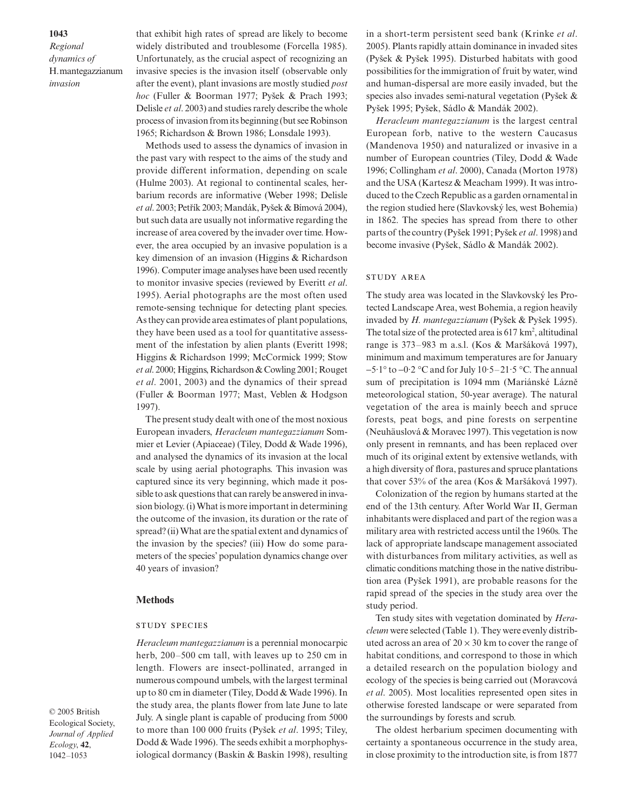**1043**

*Regional dynamics of*  H. mantegazzianum *invasion*

that exhibit high rates of spread are likely to become widely distributed and troublesome (Forcella 1985). Unfortunately, as the crucial aspect of recognizing an invasive species is the invasion itself (observable only after the event), plant invasions are mostly studied *post hoc* (Fuller & Boorman 1977; Pysek & Prach 1993; Delisle *et al*. 2003) and studies rarely describe the whole process of invasion from its beginning (but see Robinson 1965; Richardson & Brown 1986; Lonsdale 1993).

Methods used to assess the dynamics of invasion in the past vary with respect to the aims of the study and provide different information, depending on scale (Hulme 2003). At regional to continental scales, herbarium records are informative (Weber 1998; Delisle *et al*. 2003; Petrík 2003; Mandák, Pysek & Bímová 2004), but such data are usually not informative regarding the increase of area covered by the invader over time. However, the area occupied by an invasive population is a key dimension of an invasion (Higgins & Richardson 1996). Computer image analyses have been used recently to monitor invasive species (reviewed by Everitt *et al*. 1995). Aerial photographs are the most often used remote-sensing technique for detecting plant species. As they can provide area estimates of plant populations, they have been used as a tool for quantitative assessment of the infestation by alien plants (Everitt 1998; Higgins & Richardson 1999; McCormick 1999; Stow *et al*. 2000; Higgins, Richardson & Cowling 2001; Rouget *et al*. 2001, 2003) and the dynamics of their spread (Fuller & Boorman 1977; Mast, Veblen & Hodgson 1997).

The present study dealt with one of the most noxious European invaders, *Heracleum mantegazzianum* Sommier et Levier (Apiaceae) (Tiley, Dodd & Wade 1996), and analysed the dynamics of its invasion at the local scale by using aerial photographs. This invasion was captured since its very beginning, which made it possible to ask questions that can rarely be answered in invasion biology. (i) What is more important in determining the outcome of the invasion, its duration or the rate of spread? (ii) What are the spatial extent and dynamics of the invasion by the species? (iii) How do some parameters of the species' population dynamics change over 40 years of invasion?

#### **Methods**

#### **STUDY SPECIES**

*Heracleum mantegazzianum* is a perennial monocarpic herb, 200–500 cm tall, with leaves up to 250 cm in length. Flowers are insect-pollinated, arranged in numerous compound umbels, with the largest terminal up to 80 cm in diameter (Tiley, Dodd & Wade 1996). In the study area, the plants flower from late June to late July. A single plant is capable of producing from 5000 to more than 100 000 fruits (Pysek *et al*. 1995; Tiley, Dodd & Wade 1996). The seeds exhibit a morphophysiological dormancy (Baskin & Baskin 1998), resulting

© 2005 British Ecological Society, *Journal of Applied Ecology*, **42**, 1042–1053

in a short-term persistent seed bank (Krinke *et al*. 2005). Plants rapidly attain dominance in invaded sites (Pysek & Pysek 1995). Disturbed habitats with good possibilities for the immigration of fruit by water, wind and human-dispersal are more easily invaded, but the species also invades semi-natural vegetation (Pysek & Pysek 1995; Pysek, Sádlo & Mandák 2002).

*Heracleum mantegazzianum* is the largest central European forb, native to the western Caucasus (Mandenova 1950) and naturalized or invasive in a number of European countries (Tiley, Dodd & Wade 1996; Collingham *et al*. 2000), Canada (Morton 1978) and the USA (Kartesz & Meacham 1999). It was introduced to the Czech Republic as a garden ornamental in the region studied here (Slavkovsky les, west Bohemia) in 1862. The species has spread from there to other parts of the country (Pysek 1991; Pysek *et al*. 1998) and become invasive (Pysek, Sádlo & Mandák 2002).

### **STUDY AREA**

The study area was located in the Slavkovský les Protected Landscape Area, west Bohemia, a region heavily invaded by *H. mantegazzianum* (Pysek & Pysek 1995). The total size of the protected area is  $617 \text{ km}^2$ , altitudinal range is 373–983 m a.s.l. (Kos & Marsáková 1997), minimum and maximum temperatures are for January −5·1° to −0·2 °C and for July 10·5–21·5 °C. The annual sum of precipitation is 1094 mm (Mariánské Lázne meteorological station, 50-year average). The natural vegetation of the area is mainly beech and spruce forests, peat bogs, and pine forests on serpentine (Neuhäuslová & Moravec 1997). This vegetation is now only present in remnants, and has been replaced over much of its original extent by extensive wetlands, with a high diversity of flora, pastures and spruce plantations that cover 53% of the area (Kos & Marsáková 1997).

Colonization of the region by humans started at the end of the 13th century. After World War II, German inhabitants were displaced and part of the region was a military area with restricted access until the 1960s. The lack of appropriate landscape management associated with disturbances from military activities, as well as climatic conditions matching those in the native distribution area (Pysek 1991), are probable reasons for the rapid spread of the species in the study area over the study period.

Ten study sites with vegetation dominated by *Heracleum* were selected (Table 1). They were evenly distributed across an area of  $20 \times 30$  km to cover the range of habitat conditions, and correspond to those in which a detailed research on the population biology and ecology of the species is being carried out (Moravcová *et al*. 2005). Most localities represented open sites in otherwise forested landscape or were separated from the surroundings by forests and scrub.

The oldest herbarium specimen documenting with certainty a spontaneous occurrence in the study area, in close proximity to the introduction site, is from 1877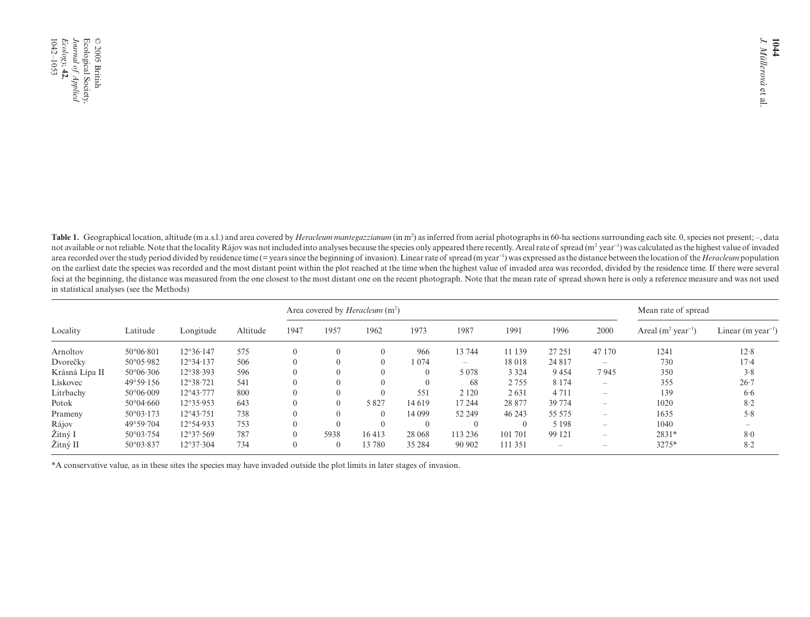Table 1. Geographical location, altitude (m a.s.l.) and area covered by *Heracleum mantegazzianum* (in m<sup>2</sup>) as inferred from aerial photographs in 60-ha sections surrounding each site. 0, species not present; -, data not available or not reliable. Note that the locality Rájov was not included into analyses because the species only appeared there recently. Areal rate of spread (m<sup>2</sup> year<sup>-1</sup>) was calculated as the highest value of invad area recorded over the study period divided by residence time (= years since the beginning of invasion). Linear rate of spread (m year<sup>-1</sup>) was expressed as the distance between the location of the *Heracleum* population on the earliest date the species was recorded and the most distant point within the plot reached at the time when the highest value of invaded area was recorded, divided by the residence time. If there were several foci at the beginning, the distance was measured from the one closest to the most distant one on the recent photograph. Note that the mean rate of spread shown here is only a reference measure and was not used in statistical analyses (see the Methods)

|                |                          |                    |          | Area covered by <i>Heracleum</i> $(m2)$ |          |          |          | Mean rate of spread      |         |                                 |                                 |                                 |                                |
|----------------|--------------------------|--------------------|----------|-----------------------------------------|----------|----------|----------|--------------------------|---------|---------------------------------|---------------------------------|---------------------------------|--------------------------------|
| Locality       | Latitude                 | Longitude          | Altitude | 1947                                    | 1957     | 1962     | 1973     | 1987                     | 1991    | 1996                            | 2000                            | Areal $(m^2 \text{ year}^{-1})$ | Linear (m year <sup>-1</sup> ) |
| Arnoltov       | $50^{\circ}06.801$       | $12^{\circ}36.147$ | 575      |                                         | U        | $\theta$ | 966      | 13 744                   | 11 139  | 27 25 1                         | 47 170                          | 1241                            | 12.8                           |
| Dvorečky       | $50^{\circ}05.982$       | 12°34·137          | 506      |                                         |          | $\Omega$ | 1074     | $\overline{\phantom{m}}$ | 18 018  | 24 8 17                         | $\hspace{0.1mm}-\hspace{0.1mm}$ | 730                             | $17-4$                         |
| Krásná Lípa II | $50^{\circ}06.306$       | 12°38.393          | 596      |                                         | $\theta$ | $\theta$ | $\theta$ | 5 0 7 8                  | 3 3 2 4 | 9454                            | 7945                            | 350                             | 3.8                            |
| Lískovec       | $49^{\circ}59.156$       | 12°38.721          | 541      |                                         |          | $\Omega$ |          | 68                       | 2755    | 8 1 7 4                         | $\hspace{0.1mm}-\hspace{0.1mm}$ | 355                             | $26 - 7$                       |
| Litrbachy      | $50^{\circ}06 \cdot 009$ | $12^{\circ}43.777$ | 800      |                                         |          | $\Omega$ | 551      | 2 1 2 0                  | 2631    | 4 7 1 1                         | $\hspace{0.1mm}-\hspace{0.1mm}$ | 139                             | 6.6                            |
| Potok          | $50^{\circ}04.660$       | 12°35.953          | 643      |                                         | $\Omega$ | 5827     | 14 619   | 17 244                   | 28 877  | 39 774                          | $\sim$                          | 1020                            | 8.2                            |
| Prameny        | $50^{\circ}03 \cdot 173$ | $12^{\circ}43.751$ | 738      |                                         | $\Omega$ | $\Omega$ | 14 099   | 52 249                   | 46 243  | 55 575                          | $\hspace{0.1mm}-\hspace{0.1mm}$ | 1635                            | 5.8                            |
| Rájov          | $49^{\circ}59.704$       | 12°54.933          | 753      |                                         |          | $\Omega$ |          |                          |         | 5 1 9 8                         | $\hspace{0.1mm}-\hspace{0.1mm}$ | 1040                            |                                |
| Žitný I        | $50^{\circ}03.754$       | 12°37.569          | 787      |                                         | 5938     | 16413    | 28 068   | 113 236                  | 101 701 | 99 121                          | $\sim$                          | $2831*$                         | 8.0                            |
| Žitný II       | $50^{\circ}03.837$       | 12°37.304          | 734      | $\Omega$                                | $\theta$ | 13 780   | 35 284   | 90 902                   | 111 351 | $\hspace{0.1mm}-\hspace{0.1mm}$ | <b>Service</b>                  | 3275*                           | 8.2                            |

\*A conservative value, as in these sites the species may have invaded outside the plot limits in later stages of invasion.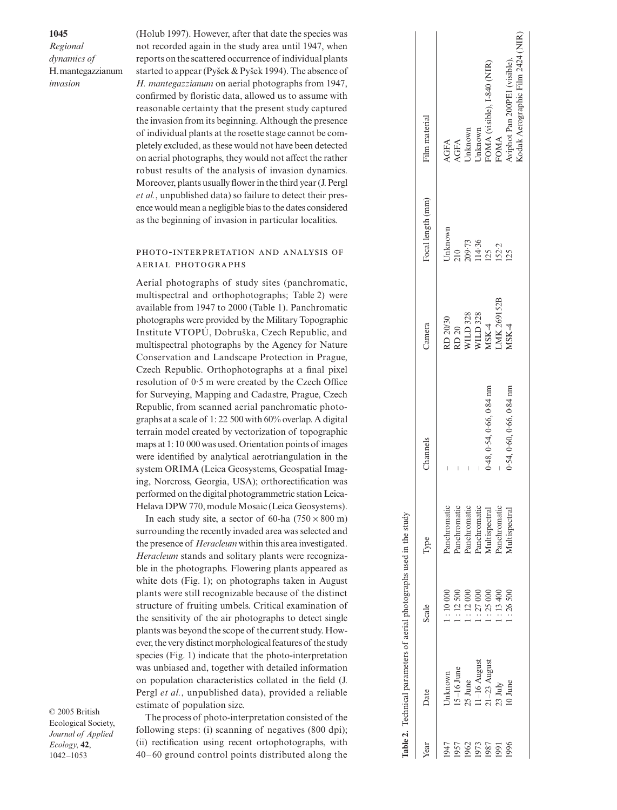*Regional dynamics of*  H. mantegazzianum *invasion*

**1045**

(Holub 1997). However, after that date the species was not recorded again in the study area until 1947, when reports on the scattered occurrence of individual plants started to appear (Pyšek & Pyšek 1994). The absence of *H. mantegazzianum* on aerial photographs from 1947, confirmed by floristic data, allowed us to assume with reasonable certainty that the present study captured the invasion from its beginning. Although the presence of individual plants at the rosette stage cannot be completely excluded, as these would not have been detected on aerial photographs, they would not affect the rather ro bust results of the analysis of invasion dynamics. Moreover, plants usually flower in the third year (J. Pergl *et al.*, unpublished data) so failure to detect their presence would mean a negligible bias to the dates considered as the beginning of invasion in particular localities.

# PHOTO-INTERPRETATION AND ANALYSIS OF **AERIAL PHOTOGRAPHS**

Aerial photographs of study sites (panchromatic, multispectral and orthophotographs; Table 2) were available from 1947 to 2000 (Table 1). Panchromatic photographs were provided by the Military Topographic Institute VTOPÚ, Dobru ska, Czech Republic, and multispectral photographs by the Agency for Nature Conservation and Landscape Protection in Prague, Czech Republic. Orthophotographs at a final pixel resolution of 0·5 m were created by the Czech Office for Surveying, Mapping and Cadastre, Prague, Czech Republic, from scanned aerial panchromatic photographs at a scale of 1: 22 500 with 60% overlap. A digital terrain model created by vectorization of topographic maps at 1: 10 000 was used. Orientation points of images were identified by analytical aerotriangulation in the system ORIMA (Leica Geosystems, Geospatial Imaging, Norcross, Georgia, USA); orthorectification was performed on the digital photogrammetric station Leica-Helava DPW 770, module Mosaic (Leica Geosystems).

In each study site, a sector of 60-ha  $(750 \times 800 \text{ m})$ surrounding the recently invaded area was selected and the presence of *Heracleum* within this area investigated. *Heracleum* stands and solitary plants were recogniza ble in the photographs. Flowering plants appeared as white dots (Fig. 1); on photographs taken in August plants were still recognizable because of the distinct structure of fruiting umbels. Critical examination of the sensitivity of the air photographs to detect single plants was beyond the scope of the current study. However, the very distinct morphological features of the study species (Fig. 1) indicate that the photo-interpretation was unbiased and, together with detailed information on population characteristics collated in the field (J. Pergl *et al.*, unpublished data), provided a reliable estimate of population size.

© 2005 British Ecological Society, *Journal of Applied Ecology*, **42**, 1042–1053

The process of photo-interpretation consisted of the following steps: (i) scanning of negatives (800 dpi); (ii) rectification using recent ortophotographs, with 40–60 ground control points distributed along the

|      | Table 2. Technical parameters of aerial photographs used in the study |         |                             |                             |                                                                                                      |                                |                                       |
|------|-----------------------------------------------------------------------|---------|-----------------------------|-----------------------------|------------------------------------------------------------------------------------------------------|--------------------------------|---------------------------------------|
| Year | Date                                                                  | Scale   | Type                        | Channels                    | Camera                                                                                               | Focal length (mm)              | Film material                         |
|      | Jnknown                                                               | 1:10000 | anchromatic                 |                             |                                                                                                      | Jnknown                        |                                       |
| 1957 | $5-16$ June                                                           | : 12500 | anchromatic                 |                             | $\begin{array}{l} \text{RD 20/30} \\ \text{RD 20} \\ \text{WILD 328} \\ \text{WILD 328} \end{array}$ |                                | AGFA<br>AGFA<br>Unknown               |
| 1962 | 25 June                                                               | : 12000 | anchromatic                 |                             |                                                                                                      | 210<br>209.73<br>114.36<br>125 |                                       |
| 1973 | 1-16 August                                                           | : 27000 | anchromatic                 |                             |                                                                                                      |                                | Jnknown                               |
| 1987 | :1-23 August                                                          | : 25000 | <i><b>Aultispectral</b></i> | $0.48, 0.54, 0.66, 0.84$ nm | MSK-4                                                                                                |                                |                                       |
| 99   | 23 July                                                               | : 13400 | anchromatic                 |                             | MK 269152B                                                                                           | 152.2                          | FOMA (visible), I-840 (NIR)<br>FOMA   |
| 996  | $0$ June                                                              | : 26500 | <b>Iultispectral</b>        | 0.54, 0.60, 0.66, 0.84 nm   | ASK-4                                                                                                | 125                            | wiphot Pan 200PE1 (visible),          |
|      |                                                                       |         |                             |                             |                                                                                                      |                                | <br>Codak Aerographic Film 2424 (NIR) |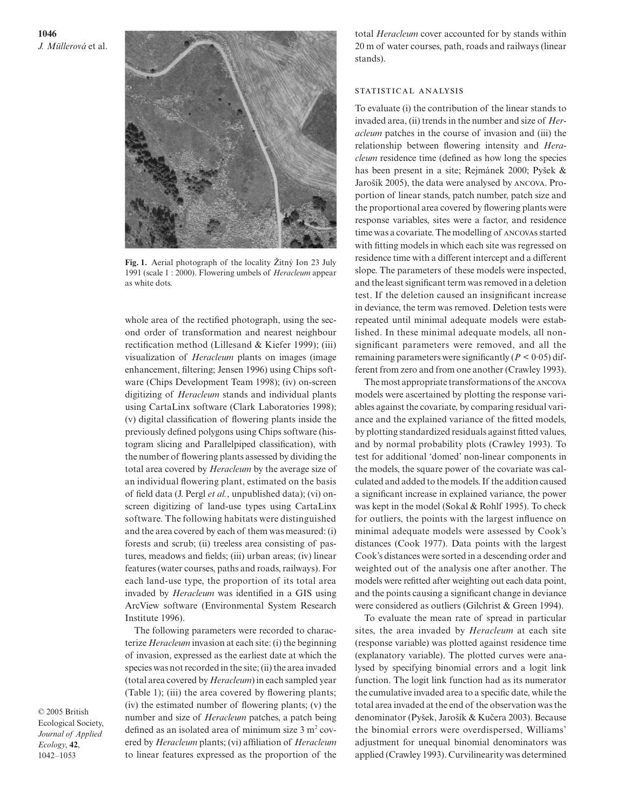**1046** *J. Müllerová* et al.



Fig. 1. Aerial photograph of the locality Žitný Ion 23 July 1991 (scale 1 : 2000). Flowering umbels of *Heracleum* appear as white dots.

whole area of the rectified photograph, using the second order of transformation and nearest neighbour rectification method (Lillesand & Kiefer 1999); (iii) visualization of *Heracleum* plants on images (image enhancement, filtering; Jensen 1996) using Chips software (Chips Development Team 1998); (iv) on-screen digitizing of *Heracleum* stands and individual plants using CartaLinx software (Clark Laboratories 1998); (v) digital classification of flowering plants inside the previously defined polygons using Chips software (histogram slicing and Parallelpiped classification), with the number of flowering plants assessed by dividing the total area covered by *Heracleum* by the average size of an individual flowering plant, estimated on the basis of field data (J. Pergl *et al.*, unpublished data); (vi) onscreen digitizing of land-use types using CartaLinx software. The following habitats were distinguished and the area covered by each of them was measured: (i) forests and scrub; (ii) treeless area consisting of pastures, meadows and fields; (iii) urban areas; (iv) linear features (water courses, paths and roads, railways). For each land-use type, the proportion of its total area invaded by *Heracleum* was identified in a GIS using ArcView software (Environmental System Research Institute 1996).

The following parameters were recorded to characterize *Heracleum* invasion at each site: (i) the beginning of invasion, expressed as the earliest date at which the species was not recorded in the site; (ii) the area invaded (total area covered by *Heracleum*) in each sampled year (Table 1); (iii) the area covered by flowering plants; (iv) the estimated number of flowering plants; (v) the number and size of *Heracleum* patches, a patch being defined as an isolated area of minimum size  $3 \text{ m}^2$  covered by *Heracleum* plants; (vi) affiliation of *Heracleum* to linear features expressed as the proportion of the total *Heracleum* cover accounted for by stands within 20 m of water courses, path, roads and railways (linear stands).

#### STATISTICAL ANALYSIS

To evaluate (i) the contribution of the linear stands to invaded area, (ii) trends in the number and size of *Heracleum* patches in the course of invasion and (iii) the relationship between flowering intensity and *Heracleum* residence time (defined as how long the species has been present in a site; Rejmánek 2000; Pysek & Jarošík 2005), the data were analysed by ANCOVA. Proportion of linear stands, patch number, patch size and the proportional area covered by flowering plants were response variables, sites were a factor, and residence time was a covariate. The modelling of ANCOVAS started with fitting models in which each site was regressed on residence time with a different intercept and a different slope. The parameters of these models were inspected, and the least significant term was removed in a deletion test. If the deletion caused an insignificant increase in deviance, the term was removed. Deletion tests were repeated until minimal adequate models were established. In these minimal adequate models, all nonsignificant parameters were removed, and all the remaining parameters were significantly  $(P < 0.05)$  different from zero and from one another (Crawley 1993).

The most appropriate transformations of the ANCOVA models were ascertained by plotting the response variables against the covariate, by comparing residual variance and the explained variance of the fitted models, by plotting standardized residuals against fitted values, and by normal probability plots (Crawley 1993). To test for additional 'domed' non-linear components in the models, the square power of the covariate was calculated and added to the models. If the addition caused a significant increase in explained variance, the power was kept in the model (Sokal & Rohlf 1995). To check for outliers, the points with the largest influence on minimal adequate models were assessed by Cook's distances (Cook 1977). Data points with the largest Cook's distances were sorted in a descending order and weighted out of the analysis one after another. The models were refitted after weighting out each data point, and the points causing a significant change in deviance were considered as outliers (Gilchrist & Green 1994).

To evaluate the mean rate of spread in particular sites, the area invaded by *Heracleum* at each site (response variable) was plotted against residence time (explanatory variable). The plotted curves were analysed by specifying binomial errors and a logit link function. The logit link function had as its numerator the cumulative invaded area to a specific date, while the total area invaded at the end of the observation was the denominator (Pyšek, Jarošík & Kučera 2003). Because the binomial errors were overdispersed, Williams' adjustment for unequal binomial denominators was applied (Crawley 1993). Curvilinearity was determined

© 2005 British Ecological Society, *Journal of Applied Ecology*, **42**, 1042–1053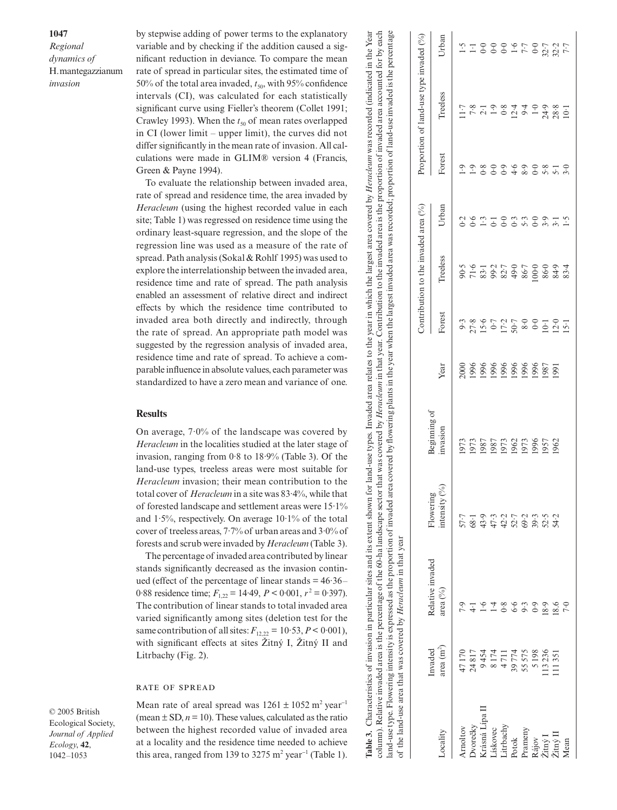**1047**

*Regional dynamics of*  H. mantegazzianum *invasion*

by stepwise adding of power terms to the explanatory variable and by checking if the addition caused a significant reduction in deviance. To compare the mean rate of spread in particular sites, the estimated time of 50% of the total area invaded,  $t_{50}$ , with 95% confidence intervals (CI), was calculated for each statistically significant curve using Fieller's theorem (Collet 1991; Crawley 1993). When the  $t_{50}$  of mean rates overlapped in CI (lower limit – upper limit), the curves did not differ significantly in the mean rate of invasion. All calculations were made in GLIM® version 4 (Francis, Green & Payne 1994).

To evaluate the relationship between invaded area, rate of spread and residence time, the area invaded by *Heracleum* (using the highest recorded value in each site; Table 1) was regressed on residence time using the ordinary least-square regression, and the slope of the regression line was used as a measure of the rate of spread. Path analysis (Sokal & Rohlf 1995) was used to explore the interrelationship between the invaded area, residence time and rate of spread. The path analysis enabled an assessment of relative direct and indirect effects by which the residence time contributed to invaded area both directly and indirectly, through the rate of spread. An appropriate path model was suggested by the regression analysis of invaded area, residence time and rate of spread. To achieve a comparable influence in absolute values, each parameter was standardized to have a zero mean and variance of one. Sion 4 (Francis,<br>
en invaded area,<br>
area invaded by<br>
ce time using the<br>
the slope of the<br>
the slope of the<br>
re of the rate of<br>
995) was used to<br>
the invaded area,<br>
he path analysis<br>
rect and indirect<br>
contributed to<br>
ire

# **Results**

On average, 7·0% of the landscape was covered by *Heracleum* in the localities studied at the later stage of invasion, ranging from 0·8 to 18·9% (Table 3). Of the land-use types, treeless areas were most suitable for *Heracleum* invasion; their mean contribution to the total cover of *Heracleum* in a site was 83·4%, while that of forested landscape and settlement areas were 15·1% and  $1.5\%$ , respectively. On average  $10.1\%$  of the total cover of treeless areas, 7·7% of urban areas and 3·0% of forests and scrub were invaded by *Heracleum* (Table 3).

The percentage of invaded area contributed by linear stands significantly decreased as the invasion continued (effect of the percentage of linear stands  $= 46.36-$ 0.88 residence time;  $F_{1,22} = 14.49$ ,  $P \le 0.001$ ,  $r^2 = 0.397$ ). The contribution of linear stands to total invaded area varied significantly among sites (deletion test for the same contribution of all sites:  $F_{12,22} = 10.53$ ,  $P < 0.001$ ), with significant effects at sites Žitný I, Žitný II and Litrbachy (Fig. 2).

#### **RATE OF SPREAD**

© 2005 British Ecological Society, *Journal of Applied Ecology*, **42**, 1042–1053

Mean rate of areal spread was  $1261 \pm 1052$  m<sup>2</sup> year<sup>-1</sup> (mean  $\pm$  SD,  $n = 10$ ). These values, calculated as the ratio between the highest recorded value of invaded area at a locality and the residence time needed to achieve this area, ranged from 139 to 3275  $m<sup>2</sup>$  year<sup>-1</sup> (Table 1).

|                      |                                  | land-use type. Flowering intensity is expressed as the proportion of invaded area covered by flowering plants in the year when the largest invaded area was recorded; proportion of land-use invaded is the percentage<br>Table 3. Characteristics of invasion in particular sites and its extent shown for land-use types. Invaded area relates to the year in which the largest area covered by <i>Heracleum</i> was recorded (indicated in the Year<br>column). Relative invaded area is the percentage of the 60-ha landscape sector that was covered by <i>Heracleum</i> in that year. Contribution to the invaded area is the proportion of invaded area accounted for by each<br>of the land-use area that was covered by <i>Heracleum</i> in that year |                                     |                         |      |                 |                                      |                |                   |                                         |                |
|----------------------|----------------------------------|----------------------------------------------------------------------------------------------------------------------------------------------------------------------------------------------------------------------------------------------------------------------------------------------------------------------------------------------------------------------------------------------------------------------------------------------------------------------------------------------------------------------------------------------------------------------------------------------------------------------------------------------------------------------------------------------------------------------------------------------------------------|-------------------------------------|-------------------------|------|-----------------|--------------------------------------|----------------|-------------------|-----------------------------------------|----------------|
|                      |                                  |                                                                                                                                                                                                                                                                                                                                                                                                                                                                                                                                                                                                                                                                                                                                                                |                                     |                         |      |                 | Contribution to the invaded area (%) |                |                   | Proportion of land-use type invaded (%) |                |
| ocality              | area(m <sup>2</sup> )<br>Invaded | Relative invaded<br>area $(^{9}/_{0})$                                                                                                                                                                                                                                                                                                                                                                                                                                                                                                                                                                                                                                                                                                                         | intensity $(^{9}_{0})$<br>Flowering | Beginning of<br>mvasion | Year | Forest          | Treeless                             | Urban          | Forest            | Treeless                                | Jrban          |
| Amoltov              | 47170                            | 7.9                                                                                                                                                                                                                                                                                                                                                                                                                                                                                                                                                                                                                                                                                                                                                            | 57.7                                | 1973                    | 2000 | 9.3             |                                      | 0.2            | $\ddot{6}$ .      | 1.7                                     | $-1.5$         |
| <b>Dvorečky</b>      | 24817                            |                                                                                                                                                                                                                                                                                                                                                                                                                                                                                                                                                                                                                                                                                                                                                                |                                     | 1973                    | 1996 |                 | $90.5$<br>71.6                       | $\delta$       | $\overline{0}$ .  | 7.8                                     |                |
| Krásná Lípa II       | 9454                             |                                                                                                                                                                                                                                                                                                                                                                                                                                                                                                                                                                                                                                                                                                                                                                |                                     | 1987                    | 1996 | $27.8$<br>15.6  | $83 - 1$                             | $\overline{1}$ | 0.8               |                                         | $\ddot{\circ}$ |
| Lískovec             | 8174                             |                                                                                                                                                                                                                                                                                                                                                                                                                                                                                                                                                                                                                                                                                                                                                                |                                     | 1987                    | 1996 |                 |                                      | $\overline{5}$ | $\tilde{\cdot}$   | $\ddot{0}$                              | $\ddot{\circ}$ |
| Litrbachy            | 4711                             | $\frac{8}{3}$                                                                                                                                                                                                                                                                                                                                                                                                                                                                                                                                                                                                                                                                                                                                                  |                                     | 1973                    | 1996 |                 | 99.7<br>82.7                         | $\overline{0}$ | $\ddot{\theta}$   | 0.8                                     | $\ddot{\circ}$ |
| Potok                | 39774                            | 9.9                                                                                                                                                                                                                                                                                                                                                                                                                                                                                                                                                                                                                                                                                                                                                            | 199115298<br>199216988              | 1962                    | 1996 | $17.2$<br>50.7  | 49.0                                 | 0.3            | 4·6               |                                         | $1\cdot 6$     |
| Prameny              | 55575                            |                                                                                                                                                                                                                                                                                                                                                                                                                                                                                                                                                                                                                                                                                                                                                                |                                     | 1973                    | 1996 | 8.0             | 86.7                                 | 5.3            | 8.8               | 12.4                                    | 7.7            |
| Rájov                | 5198                             | $\overline{0}$                                                                                                                                                                                                                                                                                                                                                                                                                                                                                                                                                                                                                                                                                                                                                 |                                     | 1996                    | 1996 | $\ddot{\circ}$  | 100.0                                | $\overline{0}$ | $\ddot{\circ}$    | $\overline{1} \cdot 0$                  | 0.0            |
| Žitný I              | 13236                            | 8.9                                                                                                                                                                                                                                                                                                                                                                                                                                                                                                                                                                                                                                                                                                                                                            |                                     | 1957                    | 1987 | $10-1$          | 86.0                                 | 3.9            | 5.8               | 24.9                                    | 32.7           |
| $Zim\llap/\llap/$ II | 11351                            | 18.6                                                                                                                                                                                                                                                                                                                                                                                                                                                                                                                                                                                                                                                                                                                                                           | 54.2                                | 1962                    | 1991 | 12.0            | 84.9                                 |                | $\overline{5}$ :1 | 28.8                                    | 32.2           |
| Mean                 |                                  | 7.0                                                                                                                                                                                                                                                                                                                                                                                                                                                                                                                                                                                                                                                                                                                                                            |                                     |                         |      | $\overline{51}$ | 83.4                                 | $\ddot{ }$     | 3.0               | $10-1$                                  |                |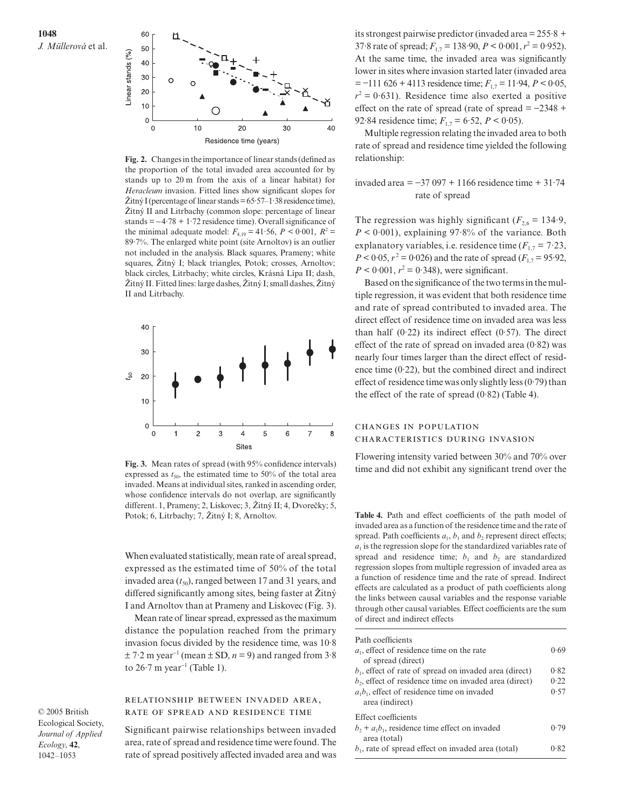



**Fig. 2.** Changes in the importance of linear stands (defined as the proportion of the total invaded area accounted for by stands up to 20 m from the axis of a linear habitat) for *Heracleum* invasion. Fitted lines show significant slopes for  $\check{Z}$ itný I (percentage of linear stands = 65·57–1·38 residence time), Zitny II and Litrbachy (common slope: percentage of linear stands = −4·78 + 1·72 residence time). Overall significance of the minimal adequate model:  $F_{4,19} = 41.56$ ,  $P < 0.001$ ,  $R^2 =$ 89·7%. The enlarged white point (site Arnoltov) is an outlier not included in the analysis. Black squares, Prameny; white squares, Žitný I; black triangles, Potok; crosses, Arnoltov; black circles, Litrbachy; white circles, Krásná Lípa II; dash, Žitný II. Fitted lines: large dashes, Žitný I; small dashes, Žitný II and Litrbachy.



**Fig. 3.** Mean rates of spread (with 95% confidence intervals) expressed as  $t_{50}$ , the estimated time to 50% of the total area invaded. Means at individual sites, ranked in ascending order, whose confidence intervals do not overlap, are significantly different. 1, Prameny; 2, Lískovec; 3, Žitný II; 4, Dvorečky; 5,

When evaluated statistically, mean rate of areal spread, expressed as the estimated time of 50% of the total invaded area  $(t_{50})$ , ranged between 17 and 31 years, and differed significantly among sites, being faster at  $\ddot{Z}$ itný I and Arnoltov than at Prameny and Lískovec (Fig. 3).

Mean rate of linear spread, expressed as the maximum distance the population reached from the primary invasion focus divided by the residence time, was 10·8  $\pm$  7·2 m year<sup>-1</sup> (mean  $\pm$  SD, *n* = 9) and ranged from 3·8 to 26 $\cdot$ 7 m year<sup>-1</sup> (Table 1).

#### RELATIONSHIP BETWEEN INVADED AREA, RATE OF SPREAD AND RESIDENCE TIME

© 2005 British Ecological Society, *Journal of Applied Ecology*, **42**, 1042–1053

Significant pairwise relationships between invaded area, rate of spread and residence time were found. The rate of spread positively affected invaded area and was

its strongest pairwise predictor (invaded area = 255·8 + 37.8 rate of spread;  $F_{1,7} = 138.90$ ,  $P < 0.001$ ,  $r^2 = 0.952$ ). At the same time, the invaded area was significantly lower in sites where invasion started later (invaded area = −111 626 + 4113 residence time; *F*1,7 = 11·94, *P* < 0·05,  $r^2 = 0.631$ ). Residence time also exerted a positive effect on the rate of spread (rate of spread =  $-2348 +$ 92·84 residence time;  $F_{1,7} = 6.52$ ,  $P < 0.05$ ).

Multiple regression relating the invaded area to both rate of spread and residence time yielded the following relationship:

# invaded area = −37 097 + 1166 residence time + 31·74 rate of spread

The regression was highly significant  $(F_{2,6} = 134.9)$ ,  $P < 0.001$ ), explaining 97.8% of the variance. Both explanatory variables, i.e. residence time  $(F_{17} = 7.23)$ ,  $P < 0.05$ ,  $r^2 = 0.026$ ) and the rate of spread ( $F_{1,7} = 95.92$ ),  $P < 0.001$ ,  $r^2 = 0.348$ ), were significant.

Based on the significance of the two terms in the multiple regression, it was evident that both residence time and rate of spread contributed to invaded area. The direct effect of residence time on invaded area was less than half  $(0.22)$  its indirect effect  $(0.57)$ . The direct effect of the rate of spread on invaded area  $(0.82)$  was nearly four times larger than the direct effect of residence time  $(0.22)$ , but the combined direct and indirect effect of residence time was only slightly less  $(0.79)$  than the effect of the rate of spread  $(0.82)$  (Table 4).

# CHANGES IN POPULATION CHARACTERISTICS DURING INVASION

Flowering intensity varied between 30% and 70% over time and did not exhibit any significant trend over the

Potok; 6, Litrbachy; 7, Zitny I; 8, Arnoltov. **Table 4.** Path and effect coefficients of the path model of invaded area as a function of the residence time and the rate of spread. Path coefficients  $a_1$ ,  $b_1$  and  $b_2$  represent direct effects;  $a<sub>1</sub>$  is the regression slope for the standardized variables rate of spread and residence time;  $b_1$  and  $b_2$  are standardized regression slopes from multiple regression of invaded area as a function of residence time and the rate of spread. Indirect effects are calculated as a product of path coefficients along the links between causal variables and the response variable through other causal variables. Effect coefficients are the sum of direct and indirect effects

| Path coefficients                                         |      |
|-----------------------------------------------------------|------|
| $a1$ , effect of residence time on the rate               | 0.69 |
| of spread (direct)                                        |      |
| $b_1$ , effect of rate of spread on invaded area (direct) | 0.82 |
| $b2$ , effect of residence time on invaded area (direct)  | 0.22 |
| $a_1b_1$ , effect of residence time on invaded            | 0.57 |
| area (indirect)                                           |      |
| Effect coefficients                                       |      |
| $b_2 + a_1b_1$ , residence time effect on invaded         | 0.79 |
| area (total)                                              |      |
| $b1$ , rate of spread effect on invaded area (total)      | 0.82 |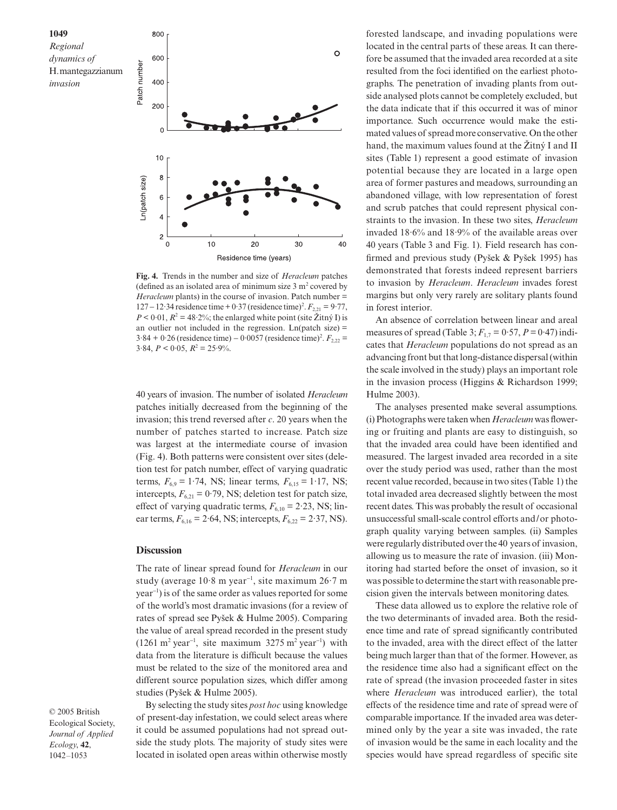

**Fig. 4.** Trends in the number and size of *Heracleum* patches (defined as an isolated area of minimum size  $3 \text{ m}^2$  covered by *Heracleum* plants) in the course of invasion. Patch number = 127 – 12⋅34 residence time + 0⋅37 (residence time)<sup>2</sup>.  $F_{2,21}$  = 9⋅77,  $P < 0.01$ ,  $R^2 = 48.2\%$ ; the enlarged white point (site Žitný I) is an outlier not included in the regression.  $Ln(patch size) =$ 3·84 + 0·26 (residence time) – 0·0057 (residence time)<sup>2</sup>.  $F_{2,22}$  =  $3.84, P < 0.05, R^2 = 25.9\%$ .

40 years of invasion. The number of isolated *Heracleum* patches initially decreased from the beginning of the invasion; this trend reversed after *c*. 20 years when the number of patches started to increase. Patch size was largest at the intermediate course of invasion (Fig. 4). Both patterns were consistent over sites (deletion test for patch number, effect of varying quadratic terms,  $F_{6.9} = 1.74$ , NS; linear terms,  $F_{6.15} = 1.17$ , NS; intercepts,  $F_{6,21} = 0.79$ , NS; deletion test for patch size, effect of varying quadratic terms,  $F_{6,10} = 2.23$ , NS; linear terms,  $F_{6,16} = 2.64$ , NS; intercepts,  $F_{6,22} = 2.37$ , NS).

#### **Discussion**

The rate of linear spread found for *Heracleum* in our study (average 10·8 m year<sup>−</sup><sup>1</sup> , site maximum 26·7 m year<sup>−</sup><sup>1</sup> ) is of the same order as values reported for some of the world's most dramatic invasions (for a review of rates of spread see Pysek & Hulme 2005). Comparing the value of areal spread recorded in the present study  $(1261 \text{ m}^2 \text{ year}^{-1}, \text{ site maximum } 3275 \text{ m}^2 \text{ year}^{-1})$  with data from the literature is difficult because the values must be related to the size of the monitored area and different source population sizes, which differ among studies (Pysek & Hulme 2005).

© 2005 British Ecological Society, *Journal of Applied Ecology*, **42**, 1042–1053

By selecting the study sites *post hoc* using knowledge of present-day infestation, we could select areas where it could be assumed populations had not spread outside the study plots. The majority of study sites were located in isolated open areas within otherwise mostly

forested landscape, and invading populations were located in the central parts of these areas. It can therefore be assumed that the invaded area recorded at a site resulted from the foci identified on the earliest photographs. The penetration of invading plants from outside analysed plots cannot be completely excluded, but the data indicate that if this occurred it was of minor importance. Such occurrence would make the estimated values of spread more conservative. On the other hand, the maximum values found at the  $\check{Z}$ ttný I and II sites (Table 1) represent a good estimate of invasion potential because they are located in a large open area of former pastures and meadows, surrounding an abandoned village, with low representation of forest and scrub patches that could represent physical constraints to the invasion. In these two sites, *Heracleum* invaded 18·6% and 18·9% of the available areas over 40 years (Table 3 and Fig. 1). Field research has confirmed and previous study (Pysek & Pysek 1995) has demonstrated that forests indeed represent barriers to invasion by *Heracleum*. *Heracleum* invades forest margins but only very rarely are solitary plants found in forest interior.

An absence of correlation between linear and areal measures of spread (Table 3;  $F_{1,7} = 0.57$ ,  $P = 0.47$ ) indicates that *Heracleum* populations do not spread as an advancing front but that long-distance dispersal (within the scale involved in the study) plays an important role in the invasion process (Higgins & Richardson 1999; Hulme 2003).

The analyses presented make several assumptions. (i) Photographs were taken when *Heracleum* was flowering or fruiting and plants are easy to distinguish, so that the invaded area could have been identified and measured. The largest invaded area recorded in a site over the study period was used, rather than the most recent value recorded, because in two sites (Table 1) the total invaded area decreased slightly between the most recent dates. This was probably the result of occasional unsuccessful small-scale control efforts and/or photograph quality varying between samples. (ii) Samples were regularly distributed over the 40 years of invasion, allowing us to measure the rate of invasion. (iii) Monitoring had started before the onset of invasion, so it was possible to determine the start with reasonable precision given the intervals between monitoring dates.

These data allowed us to explore the relative role of the two determinants of invaded area. Both the residence time and rate of spread significantly contributed to the invaded, area with the direct effect of the latter being much larger than that of the former. However, as the residence time also had a significant effect on the rate of spread (the invasion proceeded faster in sites where *Heracleum* was introduced earlier), the total effects of the residence time and rate of spread were of comparable importance. If the invaded area was determined only by the year a site was invaded, the rate of invasion would be the same in each locality and the species would have spread regardless of specific site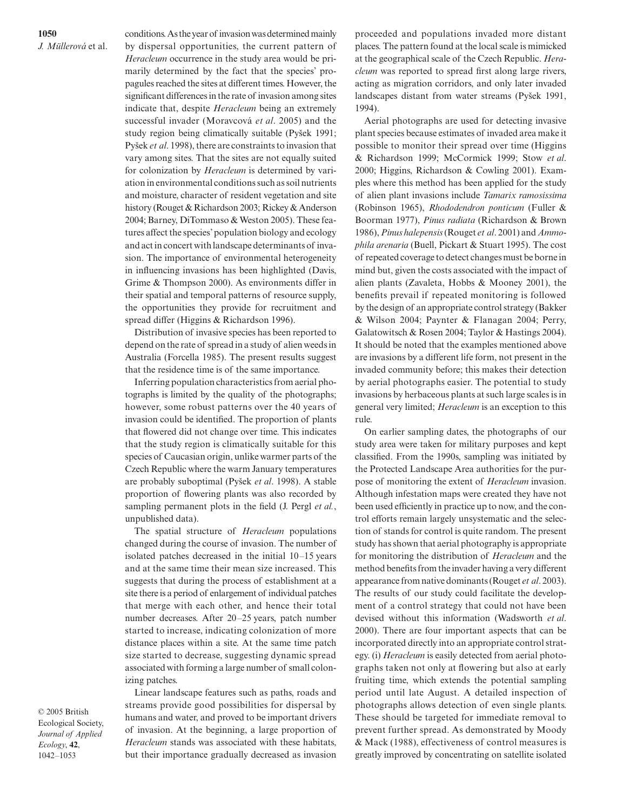**1050** *J. Müllerová* et al. conditions. As the year of invasion was determined mainly by dispersal opportunities, the current pattern of *Heracleum* occurrence in the study area would be primarily determined by the fact that the species' propagules reached the sites at different times. However, the significant differences in the rate of invasion among sites indicate that, despite *Heracleum* being an extremely successful invader (Moravcová *et al*. 2005) and the study region being climatically suitable (Pysek 1991; Pysek *et al*. 1998), there are constraints to invasion that vary among sites. That the sites are not equally suited for colonization by *Heracleum* is determined by variation in environmental conditions such as soil nutrients and moisture, character of resident vegetation and site history (Rouget & Richardson 2003; Rickey & Anderson 2004; Barney, DiTommaso & Weston 2005). These features affect the species' population biology and ecology and act in concert with landscape determinants of invasion. The importance of environmental heterogeneity in influencing invasions has been highlighted (Davis, Grime & Thompson 2000). As environments differ in their spatial and temporal patterns of resource supply, the opportunities they provide for recruitment and spread differ (Higgins & Richardson 1996).

Distribution of invasive species has been reported to depend on the rate of spread in a study of alien weeds in Australia (Forcella 1985). The present results suggest that the residence time is of the same importance.

Inferring population characteristics from aerial photographs is limited by the quality of the photographs; however, some robust patterns over the 40 years of invasion could be identified. The proportion of plants that flowered did not change over time. This indicates that the study region is climatically suitable for this species of Caucasian origin, unlike warmer parts of the Czech Republic where the warm January temperatures are probably suboptimal (Pysek *et al*. 1998). A stable proportion of flowering plants was also recorded by sampling permanent plots in the field (J. Pergl *et al.*, unpublished data).

The spatial structure of *Heracleum* populations changed during the course of invasion. The number of isolated patches decreased in the initial 10–15 years and at the same time their mean size increased. This suggests that during the process of establishment at a site there is a period of enlargement of individual patches that merge with each other, and hence their total number decreases. After 20–25 years, patch number started to increase, indicating colonization of more distance places within a site. At the same time patch size started to decrease, suggesting dynamic spread associated with forming a large number of small colonizing patches.

Linear landscape features such as paths, roads and streams provide good possibilities for dispersal by humans and water, and proved to be important drivers of invasion. At the beginning, a large proportion of *Heracleum* stands was associated with these habitats, but their importance gradually decreased as invasion

proceeded and populations invaded more distant places. The pattern found at the local scale is mimicked at the geographical scale of the Czech Republic. *Heracleum* was reported to spread first along large rivers, acting as migration corridors, and only later invaded landscapes distant from water streams (Pysek 1991, 1994).

Aerial photographs are used for detecting invasive plant species because estimates of invaded area make it possible to monitor their spread over time (Higgins & Richardson 1999; McCormick 1999; Stow *et al*. 2000; Higgins, Richardson & Cowling 2001). Examples where this method has been applied for the study of alien plant invasions include *Tamarix ramosissima* (Robinson 1965), *Rhododendron ponticum* (Fuller & Boorman 1977), *Pinus radiata* (Richardson & Brown 1986), *Pinus halepensis*(Rouget *et al*. 2001) and *Ammophila arenaria* (Buell, Pickart & Stuart 1995). The cost of repeated coverage to detect changes must be borne in mind but, given the costs associated with the impact of alien plants (Zavaleta, Hobbs & Mooney 2001), the benefits prevail if repeated monitoring is followed by the design of an appropriate control strategy (Bakker & Wilson 2004; Paynter & Flanagan 2004; Perry, Galatowitsch & Rosen 2004; Taylor & Hastings 2004). It should be noted that the examples mentioned above are invasions by a different life form, not present in the invaded community before; this makes their detection by aerial photographs easier. The potential to study invasions by herbaceous plants at such large scales is in general very limited; *Heracleum* is an exception to this rule.

On earlier sampling dates, the photographs of our study area were taken for military purposes and kept classified. From the 1990s, sampling was initiated by the Protected Landscape Area authorities for the purpose of monitoring the extent of *Heracleum* invasion. Although infestation maps were created they have not been used efficiently in practice up to now, and the control efforts remain largely unsystematic and the selection of stands for control is quite random. The present study has shown that aerial photography is appropriate for monitoring the distribution of *Heracleum* and the method benefits from the invader having a very different appearance from native dominants (Rouget *et al*. 2003). The results of our study could facilitate the development of a control strategy that could not have been devised without this information (Wadsworth *et al*. 2000). There are four important aspects that can be incorporated directly into an appropriate control strategy. (i) *Heracleum* is easily detected from aerial photographs taken not only at flowering but also at early fruiting time, which extends the potential sampling period until late August. A detailed inspection of photographs allows detection of even single plants. These should be targeted for immediate removal to prevent further spread. As demonstrated by Moody & Mack (1988), effectiveness of control measures is greatly improved by concentrating on satellite isolated

© 2005 British Ecological Society, *Journal of Applied Ecology*, **42**, 1042–1053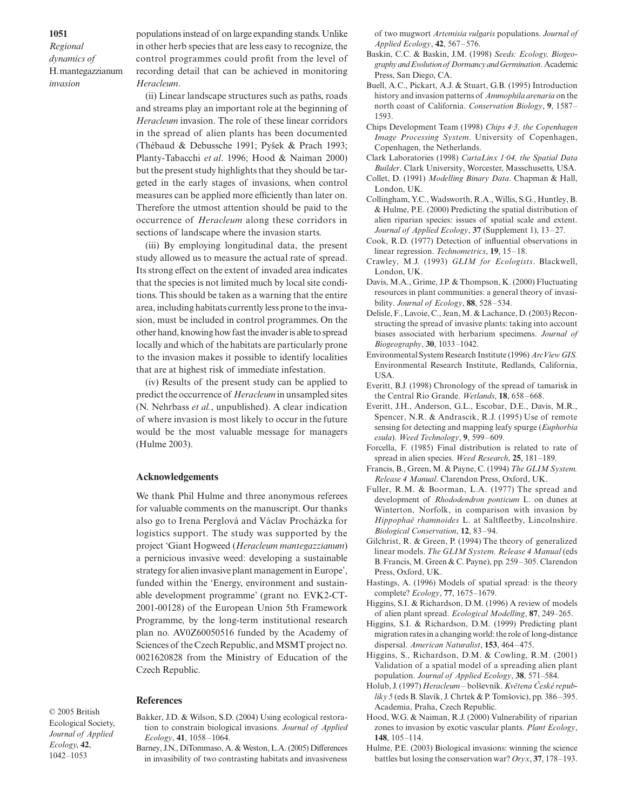*Regional dynamics of*  H. mantegazzianum *invasion*

populations instead of on large expanding stands. Unlike in other herb species that are less easy to recognize, the control programmes could profit from the level of recording detail that can be achieved in monitoring *Heracleum*.

(ii) Linear landscape structures such as paths, roads and streams play an important role at the beginning of *Heracleum* invasion. The role of these linear corridors in the spread of alien plants has been documented (Thébaud & Debussche 1991; Pysek & Prach 1993; Planty-Tabacchi *et al*. 1996; Hood & Naiman 2000) but the present study highlights that they should be targeted in the early stages of invasions, when control measures can be applied more efficiently than later on. Therefore the utmost attention should be paid to the occurrence of *Heracleum* along these corridors in sections of landscape where the invasion starts.

(iii) By employing longitudinal data, the present study allowed us to measure the actual rate of spread. Its strong effect on the extent of invaded area indicates that the species is not limited much by local site conditions. This should be taken as a warning that the entire area, including habitats currently less prone to the invasion, must be included in control programmes. On the other hand, knowing how fast the invader is able to spread locally and which of the habitats are particularly prone to the invasion makes it possible to identify localities that are at highest risk of immediate infestation.

(iv) Results of the present study can be applied to predict the occurrence of *Heracleum*in unsampled sites (N. Nehrbass *et al.*, unpublished). A clear indication of where invasion is most likely to occur in the future would be the most valuable message for managers (Hulme 2003).

#### **Acknowledgements**

We thank Phil Hulme and three anonymous referees for valuable comments on the manuscript. Our thanks also go to Irena Perglová and Václav Procházka for logistics support. The study was supported by the project 'Giant Hogweed (*Heracleum mantegazzianum*) a pernicious invasive weed: developing a sustainable strategy for alien invasive plant management in Europe', funded within the 'Energy, environment and sustainable development programme' (grant no. EVK2-CT-2001-00128) of the European Union 5th Framework Programme, by the long-term institutional research plan no. AV0Z60050516 funded by the Academy of Sciences of the Czech Republic, and MSMT project no. 0021620828 from the Ministry of Education of the Czech Republic.

#### **References**

© 2005 British Ecological Society, *Journal of Applied Ecology*, **42**, 1042–1053

- Bakker, J.D. & Wilson, S.D. (2004) Using ecological restoration to constrain biological invasions. *Journal of Applied Ecology*, **41**, 1058–1064.
- Barney, J.N., DiTommaso, A. & Weston, L.A. (2005) Differences in invasibility of two contrasting habitats and invasiveness

of two mugwort *Artemisia vulgaris* populations. *Journal of Applied Ecology*, **42**, 567–576.

- Baskin, C.C. & Baskin, J.M. (1998) *Seeds: Ecology, Biogeography and Evolution of Dormancy and Germination*. Academic Press, San Diego, CA.
- Buell, A.C., Pickart, A.J. & Stuart, G.B. (1995) Introduction history and invasion patterns of *Ammophila arenaria* on the north coast of California. *Conservation Biology*, **9**, 1587– 1593.
- Chips Development Team (1998) *Chips 4·3, the Copenhagen Image Processing System*. University of Copenhagen, Copenhagen, the Netherlands.
- Clark Laboratories (1998) *CartaLinx 1·04, the Spatial Data Builder*. Clark University, Worcester, Masschusetts, USA.
- Collet, D. (1991) *Modelling Binary Data*. Chapman & Hall, London, UK.
- Collingham, Y.C., Wadsworth, R.A., Willis, S.G., Huntley, B. & Hulme, P.E. (2000) Predicting the spatial distribution of alien riparian species: issues of spatial scale and extent. *Journal of Applied Ecology*, **37** (Supplement 1), 13–27.
- Cook, R.D. (1977) Detection of influential observations in linear regression. *Technometrics*, **19**, 15–18.
- Crawley, M.J. (1993) *GLIM for Ecologists*. Blackwell, London, UK.
- Davis, M.A., Grime, J.P. & Thompson, K. (2000) Fluctuating resources in plant communities: a general theory of invasibility. *Journal of Ecology*, **88**, 528–534.
- Delisle, F., Lavoie, C., Jean, M. & Lachance, D. (2003) Reconstructing the spread of invasive plants: taking into account biases associated with herbarium specimens. *Journal of Biogeography*, **30**, 1033–1042.
- Environmental System Research Institute (1996) *ArcView GIS.* Environmental Research Institute, Redlands, California, USA.
- Everitt, B.J. (1998) Chronology of the spread of tamarisk in the Central Rio Grande. *Wetlands*, **18**, 658–668.
- Everitt, J.H., Anderson, G.L., Escobar, D.E., Davis, M.R., Spencer, N.R. & Andrascik, R.J. (1995) Use of remote sensing for detecting and mapping leafy spurge (*Euphorbia esula*). *Weed Technology*, **9**, 599–609.
- Forcella, F. (1985) Final distribution is related to rate of spread in alien species. *Weed Research*, **25**, 181–189.
- Francis, B., Green, M. & Payne, C. (1994) *The GLIM System. Release 4 Manual*. Clarendon Press, Oxford, UK.
- Fuller, R.M. & Boorman, L.A. (1977) The spread and development of *Rhododendron ponticum* L. on dunes at Winterton, Norfolk, in comparison with invasion by *Hippophaë rhamnoides* L. at Saltfleetby, Lincolnshire. *Biological Conservation*, **12**, 83–94.
- Gilchrist, R. & Green, P. (1994) The theory of generalized linear models. *The GLIM System. Release 4 Manual* (eds B. Francis, M. Green & C. Payne), pp. 259–305. Clarendon Press, Oxford, UK.
- Hastings, A. (1996) Models of spatial spread: is the theory complete? *Ecology*, **77**, 1675–1679.
- Higgins, S.I. & Richardson, D.M. (1996) A review of models of alien plant spread. *Ecological Modelling*, **87**, 249–265.
- Higgins, S.I. & Richardson, D.M. (1999) Predicting plant migration rates in a changing world: the role of long-distance dispersal. *American Naturalist*, **153**, 464–475.
- Higgins, S., Richardson, D.M. & Cowling, R.M. (2001) Validation of a spatial model of a spreading alien plant population. *Journal of Applied Ecology*, **38**, 571–584.
- Holub, J. (1997) *Heracleum* bolševník. *Květena České republiky 5* (eds B. Slavík, J. Chrtek & P. Tomsovic), pp. 386–395. Academia, Praha, Czech Republic.
- Hood, W.G. & Naiman, R.J. (2000) Vulnerability of riparian zones to invasion by exotic vascular plants. *Plant Ecology*, **148**, 105–114.
- Hulme, P.E. (2003) Biological invasions: winning the science battles but losing the conservation war? *Oryx*, **37**, 178–193.

#### **1051**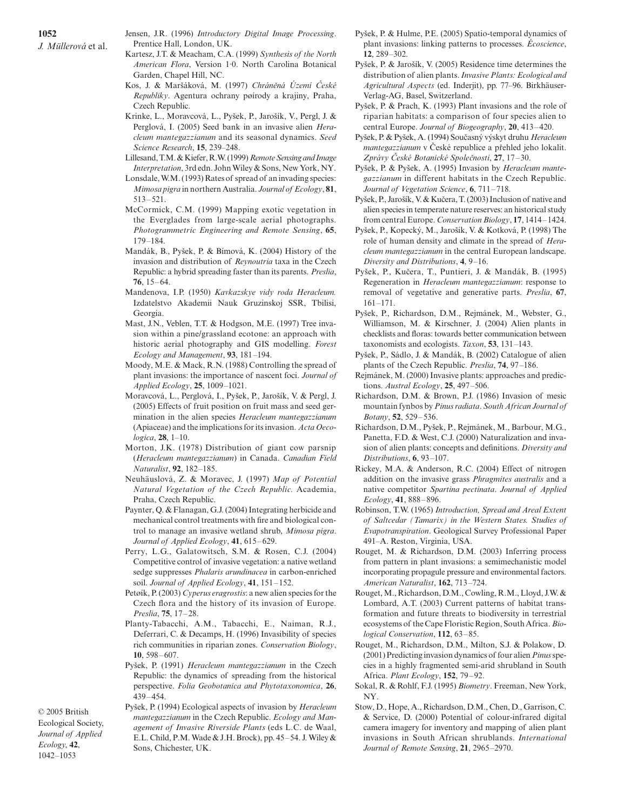- Jensen, J.R. (1996) *Introductory Digital Image Processing*. Prentice Hall, London, UK.
- Kartesz, J.T. & Meacham, C.A. (1999) *Synthesis of the North American Flora*, Version 1·0. North Carolina Botanical Garden, Chapel Hill, NC.
- Kos, J. & Marsáková, M. (1997) *Chrán*´*ná Území* Ç*eské Republiky*. Agentura ochrany pøírody a krajiny, Praha, Czech Republic.
- Krinke, L., Moravcová, L., Pysek, P., Jarosík, V., Pergl, J. & Perglová, I. (2005) Seed bank in an invasive alien *Heracleum mantegazzianum* and its seasonal dynamics. *Seed Science Research*, **15**, 239–248.
- Lillesand, T.M. & Kiefer, R.W. (1999) *Remote Sensing and Image Interpretation*, 3rd edn. John Wiley & Sons, New York, NY.
- Lonsdale, W.M. (1993) Rates of spread of an invading species: *Mimosa pigra* in northern Australia. *Journal of Ecology*, **81**, 513–521.
- McCormick, C.M. (1999) Mapping exotic vegetation in the Everglades from large-scale aerial photographs. *Photogrammetric Engineering and Remote Sensing*, **65**, 179–184.
- Mandák, B., Pysek, P. & Bímová, K. (2004) History of the invasion and distribution of *Reynoutria* taxa in the Czech Republic: a hybrid spreading faster than its parents. *Preslia*, **76**, 15–64.
- Mandenova, I.P. (1950) *Kavkazskye vidy roda Heracleum.* Izdatelstvo Akademii Nauk Gruzinskoj SSR, Tbilisi, Georgia.
- Mast, J.N., Veblen, T.T. & Hodgson, M.E. (1997) Tree invasion within a pine/grassland ecotone: an approach with historic aerial photography and GIS modelling. *Forest Ecology and Management*, **93**, 181–194.
- Moody, M.E. & Mack, R.N. (1988) Controlling the spread of plant invasions: the importance of nascent foci. *Journal of Applied Ecology*, **25**, 1009–1021.
- Moravcová, L., Perglová, I., Pysek, P., Jarosík, V. & Pergl, J. (2005) Effects of fruit position on fruit mass and seed germination in the alien species *Heracleum mantegazzianum* (Apiaceae) and the implications for its invasion. *Acta Oecologica*, **28**, 1–10.
- Morton, J.K. (1978) Distribution of giant cow parsnip (*Heracleum mantegazzianum*) in Canada. *Canadian Field Naturalist*, **92**, 182–185.
- Neuhäuslová, Z. & Moravec, J. (1997) *Map of Potential Natural Vegetation of the Czech Republic.* Academia, Praha, Czech Republic.
- Paynter, Q. & Flanagan, G.J. (2004) Integrating herbicide and mechanical control treatments with fire and biological control to manage an invasive wetland shrub, *Mimosa pigra*. *Journal of Applied Ecology*, **41**, 615–629.
- Perry, L.G., Galatowitsch, S.M. & Rosen, C.J. (2004) Competitive control of invasive vegetation: a native wetland sedge suppresses *Phalaris arundinacea* in carbon-enriched soil. *Journal of Applied Ecology*, **41**, 151–152.
- Petøík, P. (2003) *Cyperus eragrostis*: a new alien species for the Czech flora and the history of its invasion of Europe. *Preslia*, **75**, 17–28.
- Planty-Tabacchi, A.M., Tabacchi, E., Naiman, R.J., Deferrari, C. & Decamps, H. (1996) Invasibility of species rich communities in riparian zones. *Conservation Biology*, **10**, 598–607.
- Pysek, P. (1991) *Heracleum mantegazzianum* in the Czech Republic: the dynamics of spreading from the historical perspective. *Folia Geobotanica and Phytotaxonomica*, **26**, 439–454.

© 2005 British Ecological Society, *Journal of Applied Ecology*, **42**, 1042–1053

Pysek, P. (1994) Ecological aspects of invasion by *Heracleum mantegazzianum* in the Czech Republic. *Ecology and Management of Invasive Riverside Plants* (eds L.C. de Waal, E.L. Child, P.M. Wade & J.H. Brock), pp. 45–54. J. Wiley & Sons, Chichester, UK.

- Pysek, P. & Hulme, P.E. (2005) Spatio-temporal dynamics of plant invasions: linking patterns to processes. *Écoscience*, **12**, 289–302.
- Pysek, P. & Jarosík, V. (2005) Residence time determines the distribution of alien plants. *Invasive Plants: Ecological and Agricultural Aspects* (ed. Inderjit), pp. 77–96. Birkhäuser-Verlag-AG, Basel, Switzerland.
- Pysek, P. & Prach, K. (1993) Plant invasions and the role of riparian habitats: a comparison of four species alien to central Europe. *Journal of Biogeography*, **20**, 413–420.
- Pysek, P. & Pysek, A. (1994) Soucasny vyskyt druhu *Heracleum mantegazzianum* v České republice a přehled jeho lokalit. *Zprávy* Ç*eské Botanické Spole*d*nosti*, **27**, 17–30.
- Pysek, P. & Pysek, A. (1995) Invasion by *Heracleum mantegazzianum* in different habitats in the Czech Republic. *Journal of Vegetation Science*, **6**, 711–718.
- Pysek, P., Jarosík, V. & Kucera, T. (2003) Inclusion of native and alien species in temperate nature reserves: an historical study from central Europe. *Conservation Biology*, **17**, 1414–1424.
- Pysek, P., Kopecky, M., Jarosík, V. & Kotková, P. (1998) The role of human density and climate in the spread of *Heracleum mantegazzianum* in the central European landscape. *Diversity and Distributions*, **4**, 9–16.
- Pysek, P., Kucera, T., Puntieri, J. & Mandák, B. (1995) Regeneration in *Heracleum mantegazzianum*: response to removal of vegetative and generative parts. *Preslia*, **67**, 161–171.
- Pysek, P., Richardson, D.M., Rejmánek, M., Webster, G., Williamson, M. & Kirschner, J. (2004) Alien plants in checklists and floras: towards better communication between taxonomists and ecologists. *Taxon*, **53**, 131–143.
- Pysek, P., Sádlo, J. & Mandák, B. (2002) Catalogue of alien plants of the Czech Republic. *Preslia*, **74**, 97–186.
- Rejmánek, M. (2000) Invasive plants: approaches and predictions. *Austral Ecology*, **25**, 497–506.
- Richardson, D.M. & Brown, P.J. (1986) Invasion of mesic mountain fynbos by *Pinus radiata*. *South African Journal of Botany*, **52**, 529–536.
- Richardson, D.M., Pysek, P., Rejmánek, M., Barbour, M.G., Panetta, F.D. & West, C.J. (2000) Naturalization and invasion of alien plants: concepts and definitions. *Diversity and Distributions*, **6**, 93–107.
- Rickey, M.A. & Anderson, R.C. (2004) Effect of nitrogen addition on the invasive grass *Phragmites australis* and a native competitor *Spartina pectinata*. *Journal of Applied Ecology*, **41**, 888–896.
- Robinson, T.W. (1965) *Introduction, Spread and Areal Extent of Saltcedar (Tamarix) in the Western States. Studies of Evapotranspiration*. Geological Survey Professional Paper 491–A. Reston, Virginia, USA.
- Rouget, M. & Richardson, D.M. (2003) Inferring process from pattern in plant invasions: a semimechanistic model incorporating propagule pressure and environmental factors. *American Naturalist*, **162**, 713–724.
- Rouget, M., Richardson, D.M., Cowling, R.M., Lloyd, J.W. & Lombard, A.T. (2003) Current patterns of habitat transformation and future threats to biodiversity in terrestrial ecosystems of the Cape Floristic Region, South Africa. *Biological Conservation*, **112**, 63–85.
- Rouget, M., Richardson, D.M., Milton, S.J. & Polakow, D. (2001) Predicting invasion dynamics of four alien *Pinus*species in a highly fragmented semi-arid shrubland in South Africa. *Plant Ecology*, **152**, 79–92.
- Sokal, R. & Rohlf, F.J. (1995) *Biometry*. Freeman, New York, NY.
- Stow, D., Hope, A., Richardson, D.M., Chen, D., Garrison, C. & Service, D. (2000) Potential of colour-infrared digital camera imagery for inventory and mapping of alien plant invasions in South African shrublands. *International Journal of Remote Sensing*, **21**, 2965–2970.